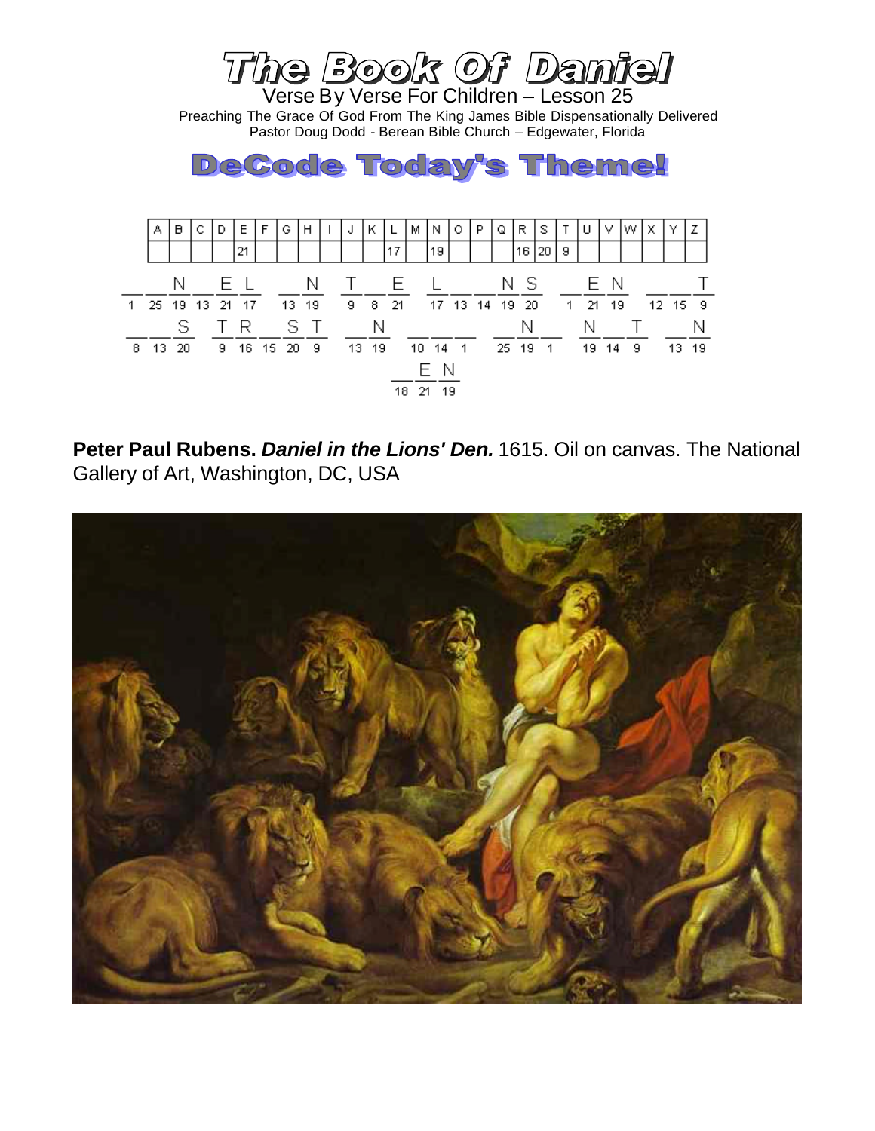

**Peter Paul Rubens.** *Daniel in the Lions' Den.* 1615. Oil on canvas. The National Gallery of Art, Washington, DC, USA

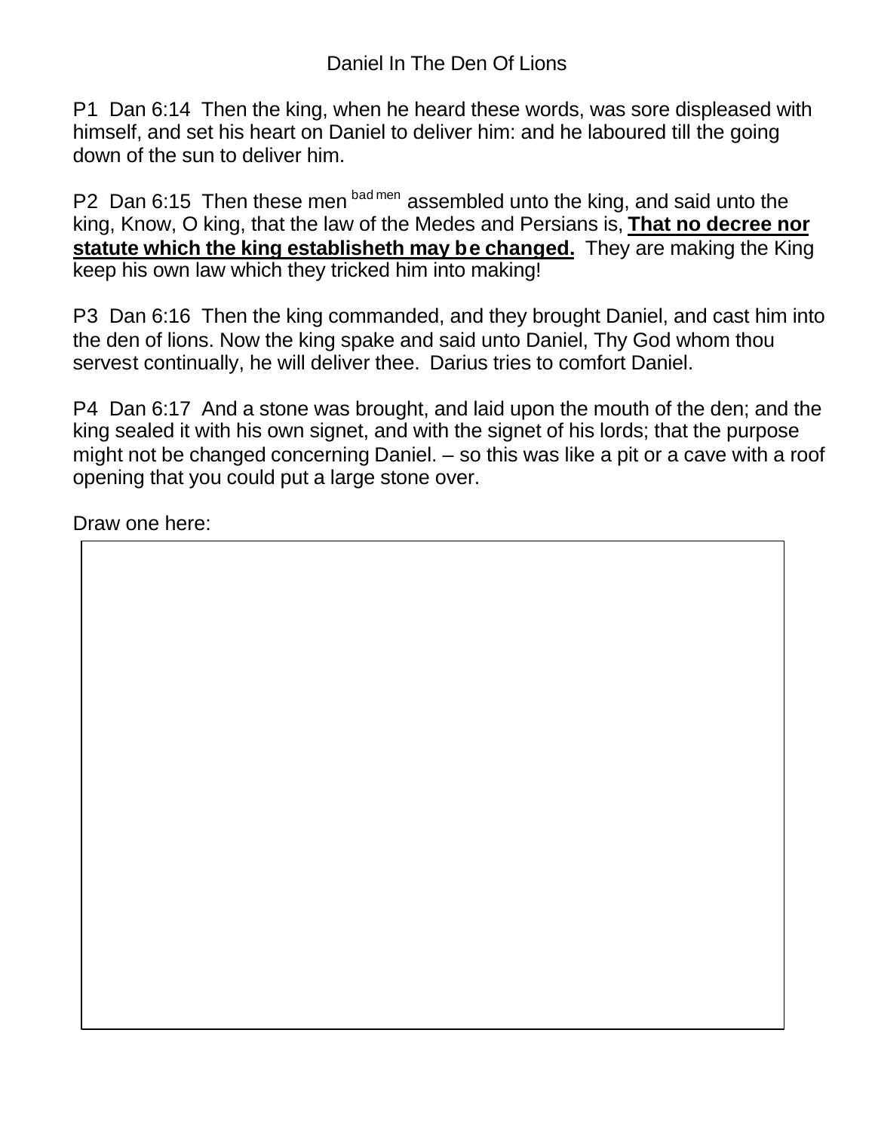P1 Dan 6:14 Then the king, when he heard these words, was sore displeased with himself, and set his heart on Daniel to deliver him: and he laboured till the going down of the sun to deliver him.

P2 Dan 6:15 Then these men bad men assembled unto the king, and said unto the king, Know, O king, that the law of the Medes and Persians is, **That no decree nor statute which the king establisheth may be changed.** They are making the King keep his own law which they tricked him into making!

P3 Dan 6:16 Then the king commanded, and they brought Daniel, and cast him into the den of lions. Now the king spake and said unto Daniel, Thy God whom thou servest continually, he will deliver thee. Darius tries to comfort Daniel.

P4 Dan 6:17 And a stone was brought, and laid upon the mouth of the den; and the king sealed it with his own signet, and with the signet of his lords; that the purpose might not be changed concerning Daniel. – so this was like a pit or a cave with a roof opening that you could put a large stone over.

Draw one here: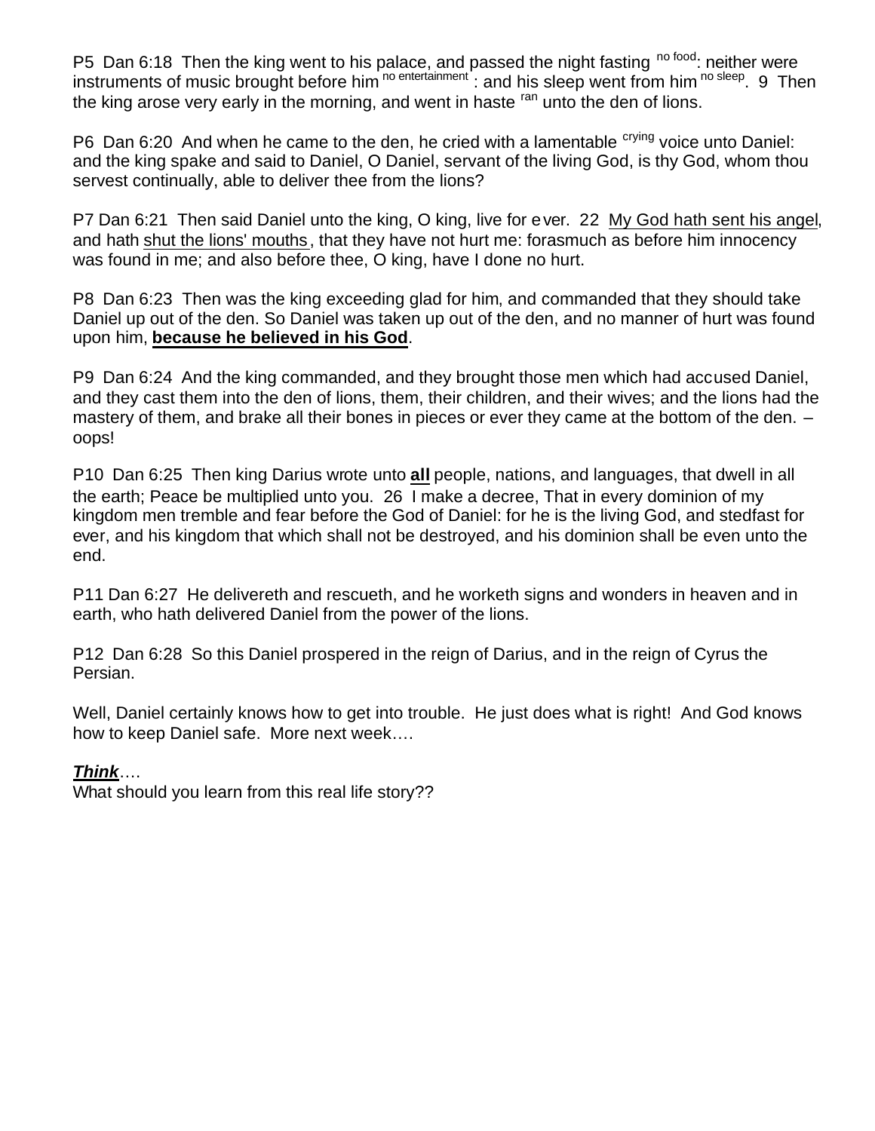P5 Dan 6:18 Then the king went to his palace, and passed the night fasting <sup>no food</sup>: neither were instruments of music brought before him <sup>no entertainment</sup> : and his sleep went from him <sup>no sleep</sup>. 9 Then the king arose very early in the morning, and went in haste ran unto the den of lions.

P6 Dan 6:20 And when he came to the den, he cried with a lamentable <sup>crying</sup> voice unto Daniel: and the king spake and said to Daniel, O Daniel, servant of the living God, is thy God, whom thou servest continually, able to deliver thee from the lions?

P7 Dan 6:21 Then said Daniel unto the king, O king, live for ever. 22 My God hath sent his angel, and hath shut the lions' mouths, that they have not hurt me: forasmuch as before him innocency was found in me; and also before thee, O king, have I done no hurt.

P8 Dan 6:23 Then was the king exceeding glad for him, and commanded that they should take Daniel up out of the den. So Daniel was taken up out of the den, and no manner of hurt was found upon him, **because he believed in his God**.

P9 Dan 6:24 And the king commanded, and they brought those men which had accused Daniel, and they cast them into the den of lions, them, their children, and their wives; and the lions had the mastery of them, and brake all their bones in pieces or ever they came at the bottom of the den. – oops!

P10 Dan 6:25 Then king Darius wrote unto **all** people, nations, and languages, that dwell in all the earth; Peace be multiplied unto you. 26 I make a decree, That in every dominion of my kingdom men tremble and fear before the God of Daniel: for he is the living God, and stedfast for ever, and his kingdom that which shall not be destroyed, and his dominion shall be even unto the end.

P11 Dan 6:27 He delivereth and rescueth, and he worketh signs and wonders in heaven and in earth, who hath delivered Daniel from the power of the lions.

P12 Dan 6:28 So this Daniel prospered in the reign of Darius, and in the reign of Cyrus the Persian.

Well, Daniel certainly knows how to get into trouble. He just does what is right! And God knows how to keep Daniel safe. More next week….

## *Think*….

What should you learn from this real life story??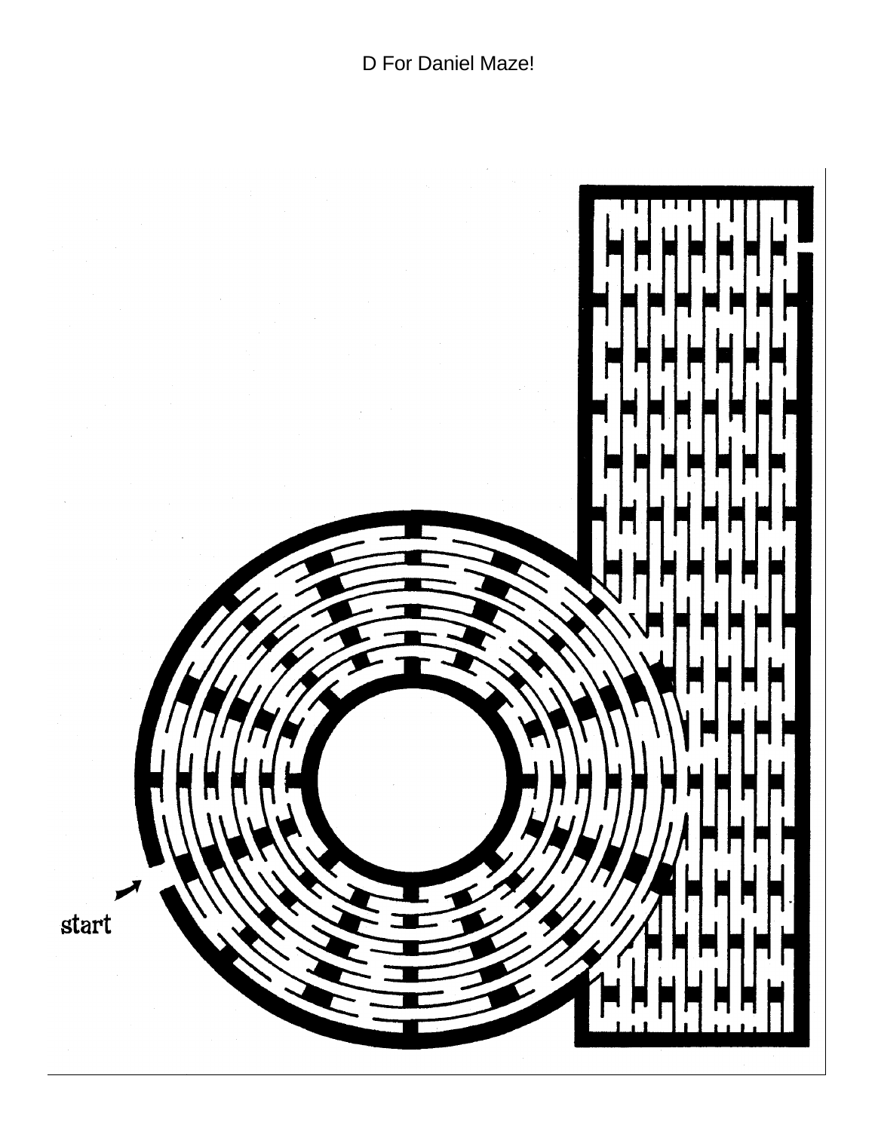